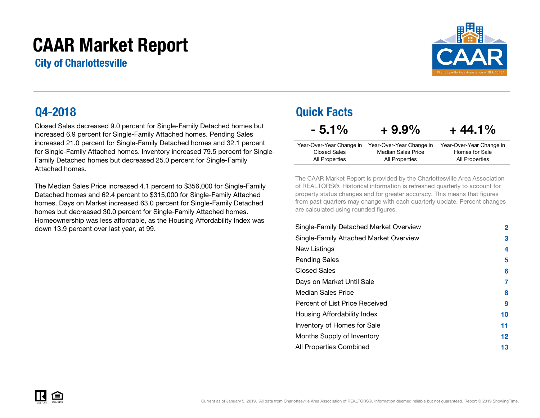# CAAR Market Report

City of Charlottesville



Closed Sales decreased 9.0 percent for Single-Family Detached homes but increased 6.9 percent for Single-Family Attached homes. Pending Sales increased 21.0 percent for Single-Family Detached homes and 32.1 percent for Single-Family Attached homes. Inventory increased 79.5 percent for Single-Family Detached homes but decreased 25.0 percent for Single-Family Attached homes.

The Median Sales Price increased 4.1 percent to \$356,000 for Single-Family Detached homes and 62.4 percent to \$315,000 for Single-Family Attached homes. Days on Market increased 63.0 percent for Single-Family Detachedhomes but decreased 30.0 percent for Single-Family Attached homes. Homeownership was less affordable, as the Housing Affordability Index was down 13.9 percent over last year, at 99.

### Q4-2018 Quick Facts

 $-5.1\% + 9.9\%$ 

 $+44.1%$ 

| Year-Over-Year Change in | Year-Over-Year Change in | Year-Over-Year Change in |
|--------------------------|--------------------------|--------------------------|
| Closed Sales             | Median Sales Price       | Homes for Sale           |
| All Properties           | All Properties           | All Properties           |

The CAAR Market Report is provided by the Charlottesville Area Association of REALTORS®. Historical information is refreshed quarterly to account for property status changes and for greater accuracy. This means that figures from past quarters may change with each quarterly update. Percent changes are calculated using rounded figures.

| Single-Family Detached Market Overview | 2  |
|----------------------------------------|----|
| Single-Family Attached Market Overview | 3  |
| New Listings                           | 4  |
| <b>Pending Sales</b>                   | 5  |
| <b>Closed Sales</b>                    | 6  |
| Days on Market Until Sale              | 7  |
| Median Sales Price                     | 8  |
| Percent of List Price Received         | 9  |
| Housing Affordability Index            | 10 |
| Inventory of Homes for Sale            | 11 |
| Months Supply of Inventory             | 12 |
| All Properties Combined                | 13 |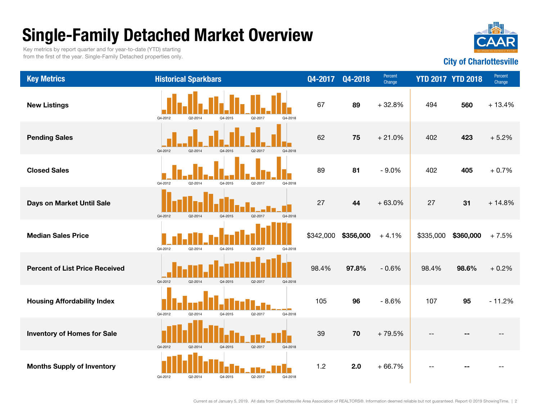# Single-Family Detached Market Overview

Key metrics by report quarter and for year-to-date (YTD) starting from the first of the year. Single-Family Detached properties only.



#### Key Metrics **Example 2018** Historical Sparkbars **Change Case Change YTD 2017 YTD 2018** Percent Change Change Change Change Change Change Change Change Change Change Change Change Change Change Change Change Change Change Pending Sales **62 75 Contract Contract Contract Contract Contract Contract Contract Contract Contract Contract Contract Contract Contract Contract Contract Contract Contract Contract Contract Contract Contract Contract C** New Listings **67 89 and 19 and 19 and 19 and 19 and 19 and 19 and 19 and 19 and 19 and 19 and 19 and 19 and 19**  $+ 21.0\%$  402 423 + 5.2%+ 32.8% 494 560 + 13.4% + 0.7%**Days on Market Until Sale 27 20 20 10:00 10:00 10:00 10:00 10:00 10:00 10:00 10:00 10:00 10:00 10:00 10:00 10:0** Closed Sales 89 8181 - 9.0% 402 405 Median Sales Price \$342,000 \$356,000 + 4.1% \$335,000 \$360,000 + 7.5% + 0.2%**Housing Affordability Index Contracts of The Plane Telephone 105 105 - 8.6% 107 95** - 11.2% Percent of List Price Received 98.4%98.4% 97.8%  $-0.6\%$  98.4% 98.6% Inventory of Homes for Sale Months Supply of Inventory 1.2 2.0 + 66.7% -- -- -- 39 70 $+79.5%$ Q4-2012 Q2-2014 Q4-2015 Q2-2017 Q4-2018 Q4-2012 Q2-2014 Q4-2015 Q2-2017 Q4-2018 Q4-2012 Q2-2014 Q4-2015 Q2-2017 Q4-2018 Q4-2012 Q2-2014 Q4-2015 Q2-2017 Q4-2018 Q4-2012 Q2-2014 Q4-2015 Q2-2017 Q4-2018 Q4-2012 Q2-2014 Q4-2015 Q2-2017 Q4-2018 Q4-2012 Q2-2014 Q4-2015 Q2-2017 Q4-2018 Q4-2012 Q2-2014 Q4-2015 Q2-2017 Q4-2018 Q4-2012Q2-2014 Q4-2015 Q2-2017 Q4-2018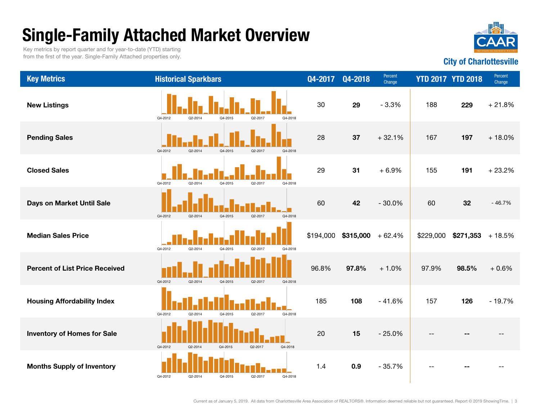# Single-Family Attached Market Overview



Key metrics by report quarter and for year-to-date (YTD) starting from the first of the year. Single-Family Attached properties only.

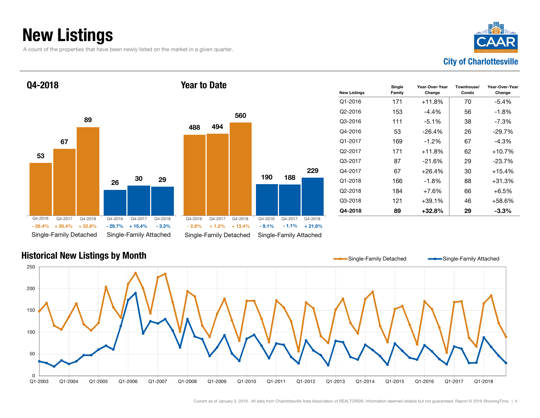### New Listings

A count of the properties that have been newly listed on the market in a given quarter.



53 26 67308929Single-Family Detached Single-Family Atta Q4-2018 488Year to DateQ4-2016 Q4-2017 Q4-2018+ 26.4% + 32.8%- 26.4% - 29.7% - 2.8% - 9.1% $-29.7\%$  + 15.4% Q4-2016 $Q4 - 2017$ 

|         |         |                        | 560      |         |                        |          |
|---------|---------|------------------------|----------|---------|------------------------|----------|
|         | 488     | 494                    |          |         |                        |          |
| 29      |         |                        |          | 190     | 188                    | 229      |
|         |         |                        |          |         |                        |          |
| Q4-2018 | Q4-2016 | Q4-2017                | Q4-2018  | Q4-2016 | Q4-2017                | Q4-2018  |
| $-3.3%$ | $-2.8%$ | $+1.2%$                | $+13.4%$ | $-9.1%$ | $-1.1%$                | $+21.8%$ |
| ached   |         | Single-Family Detached |          |         | Single-Family Attached |          |

| <b>New Listings</b> | Single<br>Family | Year-Over-Year<br>Change | Townhouse/<br>Condo | Year-Over-Year<br>Change |
|---------------------|------------------|--------------------------|---------------------|--------------------------|
| Q1-2016             | 171              | $+11.8%$                 | 70                  | $-5.4\%$                 |
| Q2-2016             | 153              | -4.4%                    | 56                  | $-1.8%$                  |
| Q3-2016             | 111              | $-5.1\%$                 | 38                  | $-7.3\%$                 |
| Q4-2016             | 53               | -26.4%                   | 26                  | $-29.7%$                 |
| Q1-2017             | 169              | $-1.2\%$                 | 67                  | -4.3%                    |
| Q2-2017             | 171              | $+11.8%$                 | 62                  | $+10.7%$                 |
| Q3-2017             | 87               | $-21.6%$                 | 29                  | $-23.7%$                 |
| Q4-2017             | 67               | $+26.4%$                 | 30                  | $+15.4%$                 |
| Q1-2018             | 166              | -1.8%                    | 88                  | +31.3%                   |
| Q2-2018             | 184              | $+7.6%$                  | 66                  | $+6.5%$                  |
| Q3-2018             | 121              | +39.1%                   | 46                  | +58.6%                   |
| Q4-2018             | 89               | +32.8%                   | 29                  | $-3.3\%$                 |

### Historical New Listings by Month

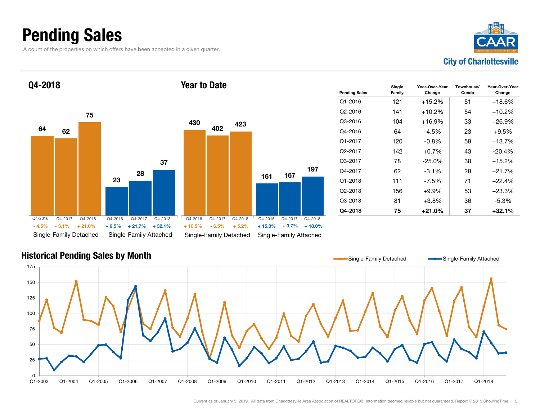### Pending Sales

A count of the properties on which offers have been accepted in a given quarter.





| <b>Pending Sales</b> | Single<br>Family | Year-Over-Year<br>Change | Townhouse/<br>Condo | Year-Over-Year<br>Change |
|----------------------|------------------|--------------------------|---------------------|--------------------------|
| $Q1 - 2016$          | 121              | $+15.2%$                 | 51                  | $+18.6%$                 |
| Q <sub>2</sub> -2016 | 141              | $+10.2%$                 | 54                  | $+10.2%$                 |
| Q3-2016              | 104              | $+16.9%$                 | 33                  | $+26.9\%$                |
| Q4-2016              | 64               | -4.5%                    | 23                  | $+9.5%$                  |
| Q1-2017              | 120              | $-0.8\%$                 | 58                  | $+13.7%$                 |
| Q <sub>2</sub> -2017 | 142              | $+0.7%$                  | 43                  | $-20.4%$                 |
| Q3-2017              | 78               | $-25.0%$                 | 38                  | $+15.2%$                 |
| Q4-2017              | 62               | $-3.1\%$                 | 28                  | $+21.7%$                 |
| Q1-2018              | 111              | -7.5%                    | 71                  | $+22.4%$                 |
| Q2-2018              | 156              | +9.9%                    | 53                  | $+23.3%$                 |
| Q3-2018              | 81               | +3.8%                    | 36                  | $-5.3\%$                 |
| Q4-2018              | 75               | +21.0%                   | 37                  | +32.1%                   |

#### Historical Pending Sales by Month

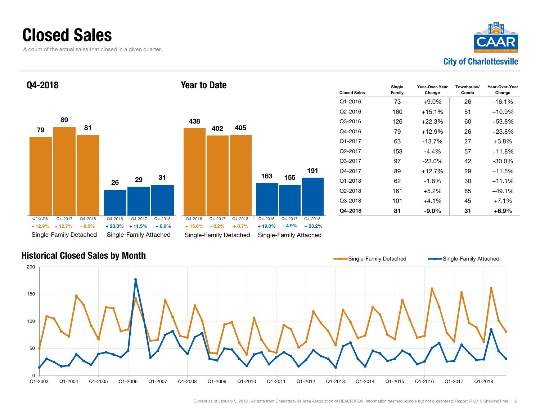### Closed Sales

A count of the actual sales that closed in a given quarter.



#### 7926 89298131Single-Family Detached Single-Family Attached Q4-2018 438163 402 155405Single-Family Detached Single-Family Attached Year to DateQ4-2016 Q4-2017 Q4-2018+ 12.7%+ 12.9% $-9.0%$  $\%$  + 12.7% - 9.0% + 23.8% + 11.5% + 6.9% + 15.6% - 8.2% + 0.7% + 19.0% - 4.9% + 23.2% Q4-2016 Q4-2017 Q4-2018 Q4-2016Q4-2017 Q4-2018 Q4-2016 Q4-2017 Q4-2018

| <b>Closed Sales</b> | Single<br>Family | Year-Over-Year<br>Change | Townhouse/<br>Condo | Year-Over-Year<br>Change |
|---------------------|------------------|--------------------------|---------------------|--------------------------|
| Q1-2016             | 73               | $+9.0\%$                 | 26                  | $-16.1%$                 |
| Q2-2016             | 160              | $+15.1%$                 | 51                  | $+10.9%$                 |
| Q3-2016             | 126              | $+22.3%$                 | 60                  | $+53.8\%$                |
| Q4-2016             | 79               | $+12.9%$                 | 26                  | $+23.8%$                 |
| Q1-2017             | 63               | -13.7%                   | 27                  | $+3.8\%$                 |
| Q2-2017             | 153              | $-4.4\%$                 | 57                  | $+11.8%$                 |
| Q3-2017             | 97               | $-23.0\%$                | 42                  | $-30.0\%$                |
| Q4-2017             | 89               | $+12.7%$                 | 29                  | $+11.5%$                 |
| Q1-2018             | 62               | -1.6%                    | 30                  | +11.1%                   |
| Q2-2018             | 161              | $+5.2%$                  | 85                  | $+49.1%$                 |
| Q3-2018             | 101              | $+4.1\%$                 | 45                  | $+7.1%$                  |
| Q4-2018             | 81               | $-9.0\%$                 | 31                  | +6.9%                    |

#### Historical Closed Sales by Month



191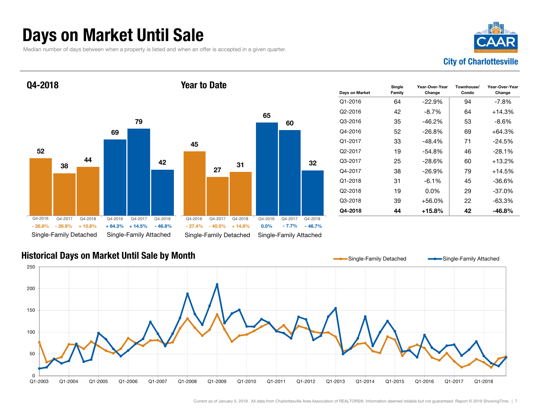### Days on Market Until Sale

Median number of days between when a property is listed and when an offer is accepted in a given quarter.

 $\%$  - 26.9% + 15.8% + 64.3% + 14.5% - 46.8% - 27.4% - 40.0% + 14.8% 0.0% - 7.7% - 46.7%

Q4-2017 Q4-2018 Q4-2016



### 52693879 44 42Q4-2018 452731Year to Date

| Days on Market | Single<br>Family | Year-Over-Year<br>Change | Townhouse/<br>Condo | Year-Over-Year<br>Change |
|----------------|------------------|--------------------------|---------------------|--------------------------|
| Q1-2016        | 64               | $-22.9%$                 | 94                  | -7.8%                    |
| Q2-2016        | 42               | -8.7%                    | 64                  | $+14.3%$                 |
| Q3-2016        | 35               | $-46.2\%$                | 53                  | -8.6%                    |
| Q4-2016        | 52               | $-26.8\%$                | 69                  | $+64.3%$                 |
| Q1-2017        | 33               | $-48.4%$                 | 71                  | $-24.5%$                 |
| Q2-2017        | 19               | $-54.8%$                 | 46                  | $-28.1%$                 |
| Q3-2017        | 25               | -28.6%                   | 60                  | $+13.2\%$                |
| Q4-2017        | 38               | $-26.9\%$                | 79                  | $+14.5%$                 |
| Q1-2018        | 31               | $-6.1\%$                 | 45                  | -36.6%                   |
| Q2-2018        | 19               | $0.0\%$                  | 29                  | $-37.0%$                 |
| Q3-2018        | 39               | $+56.0%$                 | 22                  | $-63.3%$                 |
| Q4-2018        | 44               | +15.8%                   | 42                  | -46.8%                   |

### Historical Days on Market Until Sale by Month

Q4-2016

Single-Family Detached Single-Family Attached

 Q4-2017 Q4-2018- 26.9% + 15.8%

Q4-2016

- 26.8%



Single-Family Detached Single-Family Attached

Q4-2017 Q4-2018 Q4-2016 Q4-2017 Q4-2018

65

60

32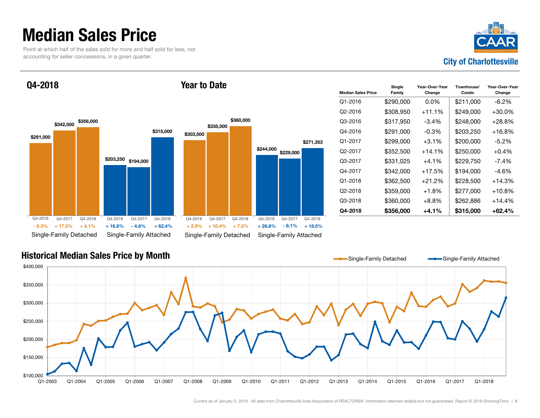### Median Sales Price

Point at which half of the sales sold for more and half sold for less, not accounting for seller concessions, in a given quarter.



Q4-2018





| <b>Median Sales Price</b> | Single<br>Family | Year-Over-Year<br>Change | Townhouse/<br>Condo | Year-Over-Year<br>Change |
|---------------------------|------------------|--------------------------|---------------------|--------------------------|
| O1-2016                   | \$290,000        | $0.0\%$                  | \$211,000           | $-6.2\%$                 |
| O2-2016                   | \$308,950        | $+11.1%$                 | \$249,000           | $+30.0\%$                |
| Q3-2016                   | \$317,950        | $-3.4\%$                 | \$248,000           | $+28.8\%$                |
| Q4-2016                   | \$291,000        | -0.3%                    | \$203,250           | $+16.8\%$                |
| Q1-2017                   | \$299,000        | $+3.1\%$                 | \$200,000           | -5.2%                    |
| Q <sub>2</sub> -2017      | \$352,500        | $+14.1%$                 | \$250,000           | $+0.4\%$                 |
| Q3-2017                   | \$331,025        | $+4.1\%$                 | \$229,750           | $-7.4\%$                 |
| Q4-2017                   | \$342,000        | $+17.5%$                 | \$194,000           | -4.6%                    |
| Q1-2018                   | \$362,500        | +21.2%                   | \$228,500           | $+14.3%$                 |
| Q2-2018                   | \$359,000        | $+1.8%$                  | \$277,000           | $+10.8\%$                |
| Q3-2018                   | \$360,000        | $+8.8\%$                 | \$262,886           | $+14.4%$                 |
| Q4-2018                   | \$356,000        | +4.1%                    | \$315,000           | $+62.4%$                 |

#### Historical Median Sales Price by Month

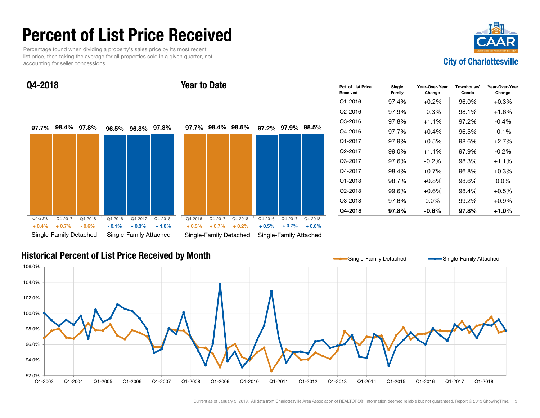### Percent of List Price Received

Percentage found when dividing a property's sales price by its most recent list price, then taking the average for all properties sold in a given quarter, not accounting for seller concessions.



Q4-2018

#### Year to Date



| Pct. of List Price<br>Received | Single<br>Family | Year-Over-Year<br>Change | Townhouse/<br>Condo | Year-Over-Year<br>Change |
|--------------------------------|------------------|--------------------------|---------------------|--------------------------|
| $Q1 - 2016$                    | 97.4%            | $+0.2\%$                 | 96.0%               | $+0.3%$                  |
| Q2-2016                        | 97.9%            | $-0.3\%$                 | 98.1%               | $+1.6\%$                 |
| Q3-2016                        | 97.8%            | $+1.1\%$                 | 97.2%               | $-0.4\%$                 |
| Q4-2016                        | 97.7%            | $+0.4\%$                 | 96.5%               | $-0.1%$                  |
| Q1-2017                        | 97.9%            | $+0.5\%$                 | 98.6%               | $+2.7%$                  |
| Q2-2017                        | 99.0%            | $+1.1%$                  | 97.9%               | $-0.2\%$                 |
| Q3-2017                        | 97.6%            | $-0.2\%$                 | 98.3%               | $+1.1%$                  |
| Q4-2017                        | 98.4%            | $+0.7\%$                 | 96.8%               | $+0.3%$                  |
| $Q1 - 2018$                    | 98.7%            | $+0.8\%$                 | 98.6%               | $0.0\%$                  |
| Q2-2018                        | 99.6%            | $+0.6%$                  | 98.4%               | $+0.5%$                  |
| Q3-2018                        | 97.6%            | $0.0\%$                  | 99.2%               | $+0.9%$                  |
| Q4-2018                        | 97.8%            | $-0.6\%$                 | 97.8%               | $+1.0%$                  |

#### Historical Percent of List Price Received by Month

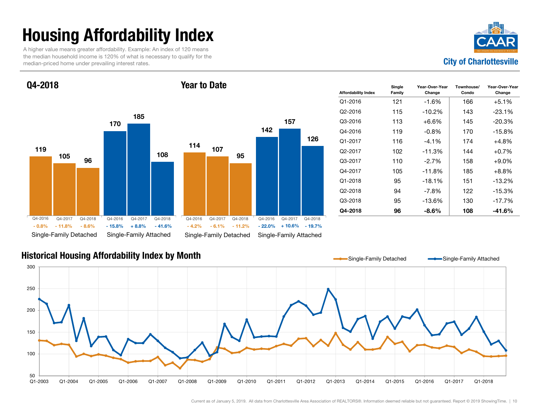# Housing Affordability Index

A higher value means greater affordability. Example: An index of 120 means the median household income is 120% of what is necessary to qualify for the median-priced home under prevailing interest rates.



Q4-2018

#### Year to Date



| <b>Affordability Index</b> | Single<br>Family | Year-Over-Year<br>Change | Townhouse/<br>Condo | Year-Over-Year<br>Change |
|----------------------------|------------------|--------------------------|---------------------|--------------------------|
| $Q1 - 2016$                | 121              | $-1.6%$                  | 166                 | $+5.1%$                  |
| Q <sub>2</sub> -2016       | 115              | $-10.2%$                 | 143                 | $-23.1\%$                |
| Q3-2016                    | 113              | $+6.6\%$                 | 145                 | $-20.3%$                 |
| Q4-2016                    | 119              | $-0.8%$                  | 170                 | $-15.8%$                 |
| Q1-2017                    | 116              | $-4.1\%$                 | 174                 | $+4.8%$                  |
| Q <sub>2</sub> -2017       | 102              | $-11.3%$                 | 144                 | $+0.7%$                  |
| Q3-2017                    | 110              | $-2.7%$                  | 158                 | $+9.0\%$                 |
| Q4-2017                    | 105              | $-11.8%$                 | 185                 | $+8.8%$                  |
| Q1-2018                    | 95               | $-18.1%$                 | 151                 | $-13.2%$                 |
| Q2-2018                    | 94               | $-7.8%$                  | 122                 | $-15.3%$                 |
| Q3-2018                    | 95               | $-13.6%$                 | 130                 | $-17.7%$                 |
| Q4-2018                    | 96               | $-8.6\%$                 | 108                 | -41.6%                   |

#### Historical Housing Affordability Index by Month

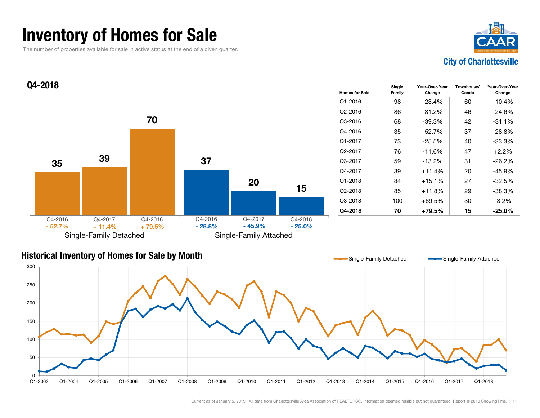### Inventory of Homes for Sale

The number of properties available for sale in active status at the end of a given quarter.





#### Historical Inventory of Homes for Sale by Month

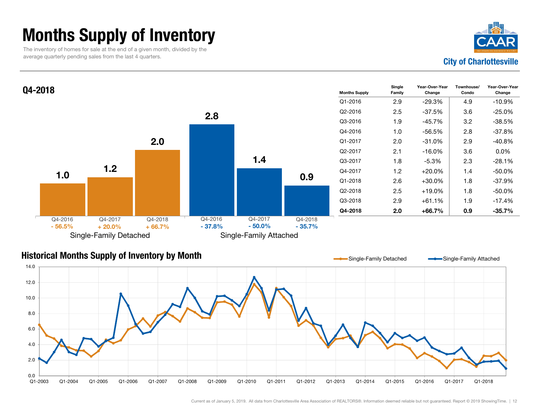### Months Supply of Inventory

The inventory of homes for sale at the end of a given month, divided by the average quarterly pending sales from the last 4 quarters.